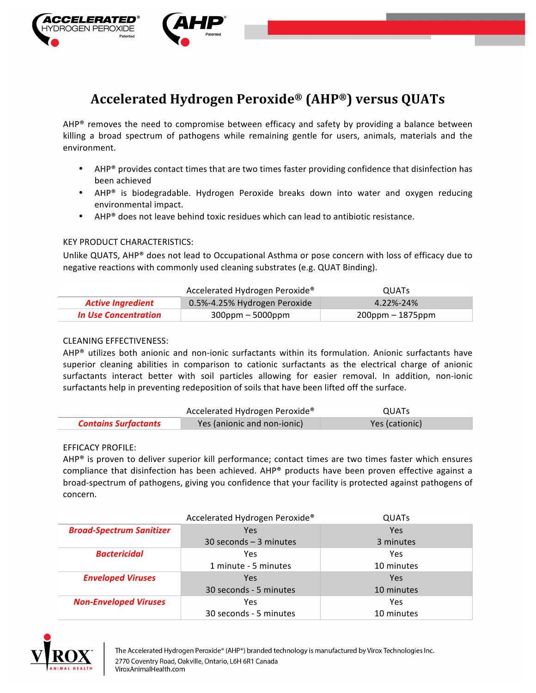

# **Accelerated Hydrogen Peroxide® (AHP®) versus QUATs**

AHP® removes the need to compromise between efficacy and safety by providing a balance between killing a broad spectrum of pathogens while remaining gentle for users, animals, materials and the environment.

- AHP<sup>®</sup> provides contact times that are two times faster providing confidence that disinfection has been achieved
- AHP<sup>®</sup> is biodegradable. Hydrogen Peroxide breaks down into water and oxygen reducing environmental impact.
- AHP® does not leave behind toxic residues which can lead to antibiotic resistance.

# KEY PRODUCT CHARACTERISTICS:

Unlike QUATS, AHP® does not lead to Occupational Asthma or pose concern with loss of efficacy due to negative reactions with commonly used cleaning substrates (e.g. QUAT Binding).

|                          | Accelerated Hydrogen Peroxide® | <b>OUATS</b>        |
|--------------------------|--------------------------------|---------------------|
| <b>Active Ingredient</b> | 0.5%-4.25% Hydrogen Peroxide   | 4.22%-24%           |
| In Use Concentration     | $300$ ppm – 5000ppm            | $200$ ppm – 1875ppm |

# CLEANING EFFECTIVENESS:

 $AHP<sup>®</sup>$  utilizes both anionic and non-ionic surfactants within its formulation. Anionic surfactants have superior cleaning abilities in comparison to cationic surfactants as the electrical charge of anionic surfactants interact better with soil particles allowing for easier removal. In addition, non-ionic surfactants help in preventing redeposition of soils that have been lifted off the surface.

|                             | Accelerated Hydrogen Peroxide <sup>®</sup> | QUATs          |
|-----------------------------|--------------------------------------------|----------------|
| <b>Contains Surfactants</b> | Yes (anionic and non-ionic)                | Yes (cationic) |

### EFFICACY PROFILE:

AHP<sup>®</sup> is proven to deliver superior kill performance; contact times are two times faster which ensures compliance that disinfection has been achieved. AHP® products have been proven effective against a broad-spectrum of pathogens, giving you confidence that your facility is protected against pathogens of concern. 

|                                 | Accelerated Hydrogen Peroxide® | <b>QUATS</b> |
|---------------------------------|--------------------------------|--------------|
| <b>Broad-Spectrum Sanitizer</b> | Yes                            | Yes          |
|                                 | $30$ seconds $-3$ minutes      | 3 minutes    |
| <b>Bactericidal</b>             | Yes                            | Yes          |
|                                 | 1 minute - 5 minutes           | 10 minutes   |
| <b>Enveloped Viruses</b>        | Yes                            | Yes          |
|                                 | 30 seconds - 5 minutes         | 10 minutes   |
| <b>Non-Enveloped Viruses</b>    | Yes                            | Yes          |
|                                 | 30 seconds - 5 minutes         | 10 minutes   |